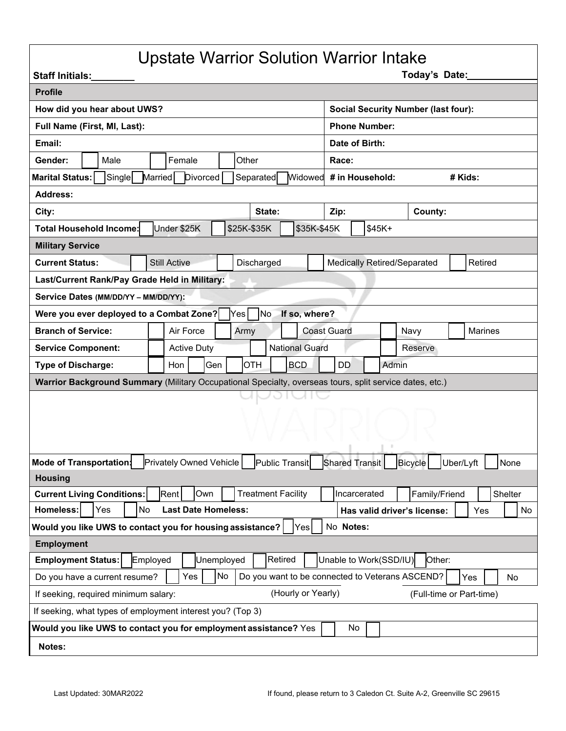## Upstate Warrior Solution Warrior Intake

| <b>Staff Initials:</b>                                                                                                                  | Today's Date:                                 |  |
|-----------------------------------------------------------------------------------------------------------------------------------------|-----------------------------------------------|--|
| <b>Profile</b>                                                                                                                          |                                               |  |
| How did you hear about UWS?                                                                                                             | <b>Social Security Number (last four):</b>    |  |
| Full Name (First, MI, Last):                                                                                                            | <b>Phone Number:</b>                          |  |
| Email:                                                                                                                                  | Date of Birth:                                |  |
| Female<br>Other<br>Male<br>Gender:                                                                                                      | Race:                                         |  |
| Single<br><b>Marital Status:</b><br>Married<br><b>Divorced</b><br>Separated<br><b>Widowed</b>                                           | # in Household:<br># Kids:                    |  |
| <b>Address:</b>                                                                                                                         |                                               |  |
| City:<br>State:                                                                                                                         | Zip:<br>County:                               |  |
| \$25K-\$35K<br>\$35K-\$45K<br>Under \$25K<br>Total Household Income:                                                                    | $$45K+$                                       |  |
| <b>Military Service</b>                                                                                                                 |                                               |  |
| Discharged<br><b>Current Status:</b><br><b>Still Active</b>                                                                             | <b>Medically Retired/Separated</b><br>Retired |  |
| Last/Current Rank/Pay Grade Held in Military:                                                                                           |                                               |  |
| Service Dates (MM/DD/YY - MM/DD/YY):                                                                                                    |                                               |  |
| Were you ever deployed to a Combat Zone?<br>No<br>If so, where?<br>Yes <sub>l</sub>                                                     |                                               |  |
| <b>Branch of Service:</b><br>Air Force<br>Army                                                                                          | <b>Coast Guard</b><br><b>Marines</b><br>Navy  |  |
| <b>National Guard</b><br><b>Active Duty</b><br><b>Service Component:</b>                                                                | Reserve                                       |  |
| <b>OTH</b><br><b>BCD</b><br><b>Type of Discharge:</b><br>Hon<br>Gen                                                                     | <b>DD</b><br>Admin                            |  |
| Warrior Background Summary (Military Occupational Specialty, overseas tours, split service dates, etc.)                                 |                                               |  |
|                                                                                                                                         |                                               |  |
|                                                                                                                                         |                                               |  |
|                                                                                                                                         |                                               |  |
|                                                                                                                                         |                                               |  |
| Mode of Transportation<br>Privately Owned Vehicle<br>Public Transit<br>Shared Transit<br>Bicycle<br>Uber/Lyft<br>None<br><b>Housing</b> |                                               |  |
| Rent<br>Own<br><b>Treatment Facility</b><br><b>Current Living Conditions:</b>                                                           | Incarcerated<br>Family/Friend<br>Shelter      |  |
| <b>Homeless:</b><br>No<br><b>Last Date Homeless:</b><br>Yes                                                                             | Has valid driver's license:<br>Yes<br>No      |  |
| Would you like UWS to contact you for housing assistance?<br>No Notes:<br>Yes                                                           |                                               |  |
| <b>Employment</b>                                                                                                                       |                                               |  |
| Retired<br><b>Employment Status:</b><br>Unemployed<br>Employed                                                                          | Unable to Work(SSD/IU)<br>Other:              |  |
| No<br>Yes<br>Do you want to be connected to Veterans ASCEND?<br>Do you have a current resume?<br>Yes<br>No                              |                                               |  |
| (Hourly or Yearly)<br>If seeking, required minimum salary:<br>(Full-time or Part-time)                                                  |                                               |  |
| If seeking, what types of employment interest you? (Top 3)                                                                              |                                               |  |
| Would you like UWS to contact you for employment assistance? Yes<br>No                                                                  |                                               |  |
| Notes:                                                                                                                                  |                                               |  |